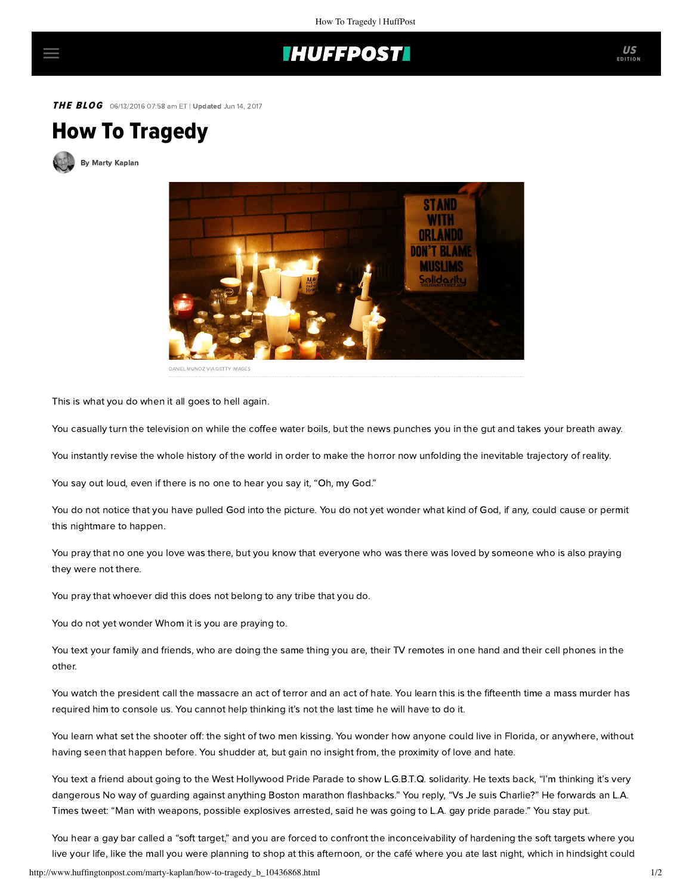THE BLOG 06/13/2016 07:58 am ET | Updated Jun 14, 2017

## How To Tragedy



[By Marty Kaplan](http://www.huffingtonpost.com/author/marty-kaplan)



DANIEL MUNOZ VIA GETTY IMAGES

This is what you do when it all goes to hell again.

You casually turn the television on while the coffee water boils, but the news punches you in the gut and takes your breath away.

You instantly revise the whole history of the world in order to make the horror now unfolding the inevitable trajectory of reality.

You say out loud, even if there is no one to hear you say it, "Oh, my God."

You do not notice that you have pulled God into the picture. You do not yet wonder what kind of God, if any, could cause or permit this nightmare to happen.

You pray that no one you love was there, but you know that everyone who was there was loved by someone who is also praying they were not there.

You pray that whoever did this does not belong to any tribe that you do.

You do not yet wonder Whom it is you are praying to.

You text your family and friends, who are doing the same thing you are, their TV remotes in one hand and their cell phones in the other.

You watch the president call the massacre an act of terror and an act of hate. You learn this is the fifteenth time a mass murder has required him to console us. You cannot help thinking it's not the last time he will have to do it.

You learn what set the shooter off: the sight of two men kissing. You wonder how anyone could live in Florida, or anywhere, without having seen that happen before. You shudder at, but gain no insight from, the proximity of love and hate.

You text a friend about going to the West Hollywood Pride Parade to show L.G.B.T.Q. solidarity. He texts back, "I'm thinking it's very dangerous No way of guarding against anything Boston marathon flashbacks." You reply, "Vs Je suis Charlie?" He forwards an L.A. Times tweet: "Man with weapons, possible explosives arrested, said he was going to L.A. gay pride parade." You stay put.

You hear a gay bar called a "soft target," and you are forced to confront the inconceivability of hardening the soft targets where you live your life, like the mall you were planning to shop at this afternoon, or the café where you ate last night, which in hindsight could